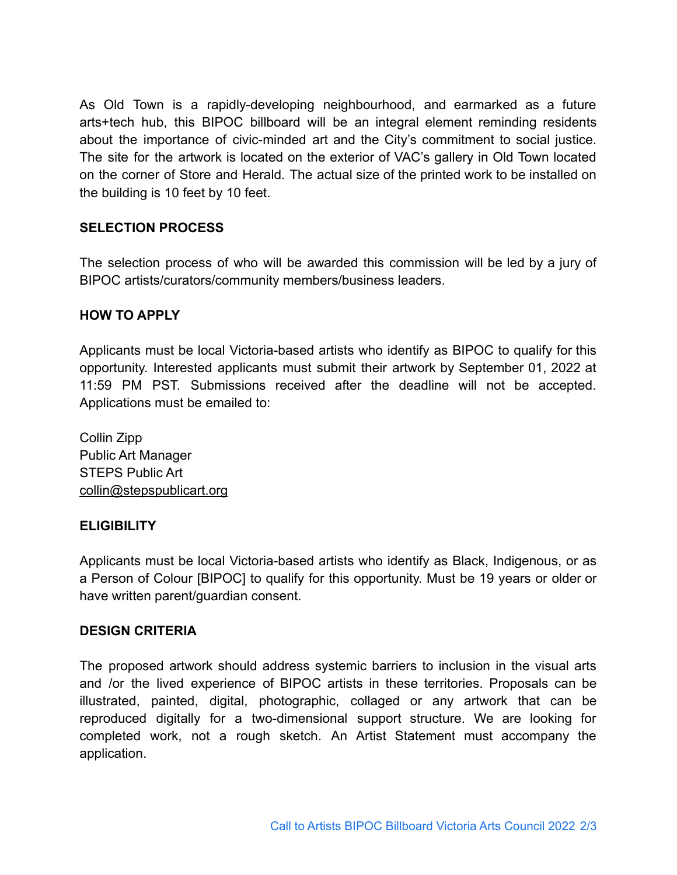As Old Town is a rapidly-developing neighbourhood, and earmarked as a future arts+tech hub, this BIPOC billboard will be an integral element reminding residents about the importance of civic-minded art and the City's commitment to social justice. The site for the artwork is located on the exterior of VAC's gallery in Old Town located on the corner of Store and Herald. The actual size of the printed work to be installed on the building is 10 feet by 10 feet.

## **SELECTION PROCESS**

The selection process of who will be awarded this commission will be led by a jury of BIPOC artists/curators/community members/business leaders.

## **HOW TO APPLY**

Applicants must be local Victoria-based artists who identify as BIPOC to qualify for this opportunity. Interested applicants must submit their artwork by September 01, 2022 at 11:59 PM PST. Submissions received after the deadline will not be accepted. Applications must be emailed to:

Collin Zipp Public Art Manager STEPS Public Art [collin@stepspublicart.org](mailto:collin@stepspublicart.org)

## **ELIGIBILITY**

Applicants must be local Victoria-based artists who identify as Black, Indigenous, or as a Person of Colour [BIPOC] to qualify for this opportunity. Must be 19 years or older or have written parent/guardian consent.

## **DESIGN CRITERIA**

The proposed artwork should address systemic barriers to inclusion in the visual arts and /or the lived experience of BIPOC artists in these territories. Proposals can be illustrated, painted, digital, photographic, collaged or any artwork that can be reproduced digitally for a two-dimensional support structure. We are looking for completed work, not a rough sketch. An Artist Statement must accompany the application.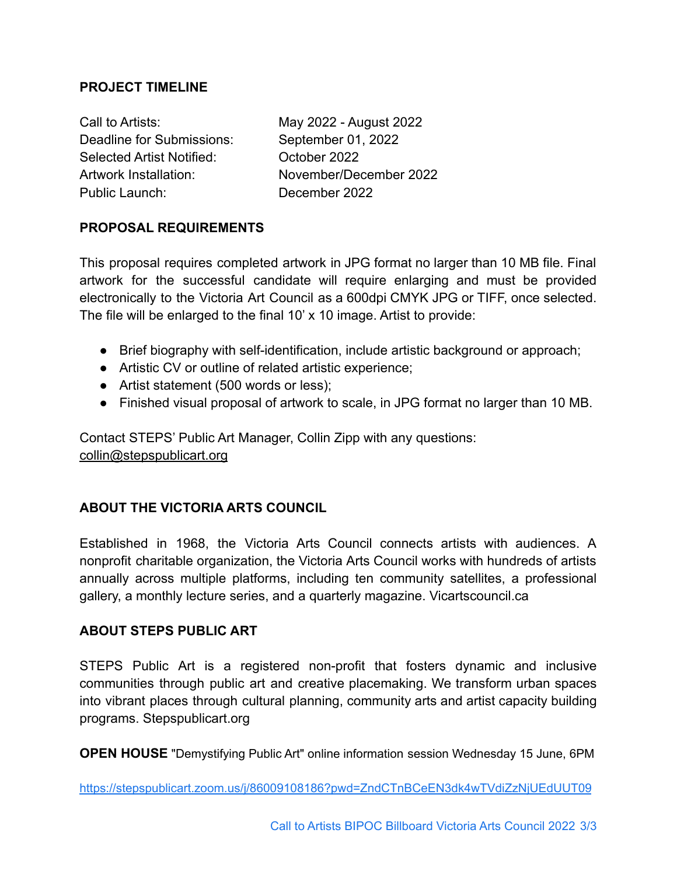## **PROJECT TIMELINE**

Call to Artists: May 2022 - August 2022 Deadline for Submissions: September 01, 2022 Selected Artist Notified: October 2022 Public Launch: December 2022

Artwork Installation: November/December 2022

# **PROPOSAL REQUIREMENTS**

This proposal requires completed artwork in JPG format no larger than 10 MB file. Final artwork for the successful candidate will require enlarging and must be provided electronically to the Victoria Art Council as a 600dpi CMYK JPG or TIFF, once selected. The file will be enlarged to the final 10' x 10 image. Artist to provide:

- Brief biography with self-identification, include artistic background or approach;
- Artistic CV or outline of related artistic experience;
- Artist statement (500 words or less);
- Finished visual proposal of artwork to scale, in JPG format no larger than 10 MB.

Contact STEPS' Public Art Manager, Collin Zipp with any questions: [collin@stepspublicart.org](mailto:collin@stepspublicart.org)

# **ABOUT THE VICTORIA ARTS COUNCIL**

Established in 1968, the Victoria Arts Council connects artists with audiences. A nonprofit charitable organization, the Victoria Arts Council works with hundreds of artists annually across multiple platforms, including ten community satellites, a professional gallery, a monthly lecture series, and a quarterly magazine. Vicartscouncil.ca

# **ABOUT STEPS PUBLIC ART**

STEPS Public Art is a registered non-profit that fosters dynamic and inclusive communities through public art and creative placemaking. We transform urban spaces into vibrant places through cultural planning, community arts and artist capacity building programs. Stepspublicart.org

**OPEN HOUSE** "Demystifying Public Art" online information session Wednesday 15 June, 6PM

<https://stepspublicart.zoom.us/j/86009108186?pwd=ZndCTnBCeEN3dk4wTVdiZzNjUEdUUT09>